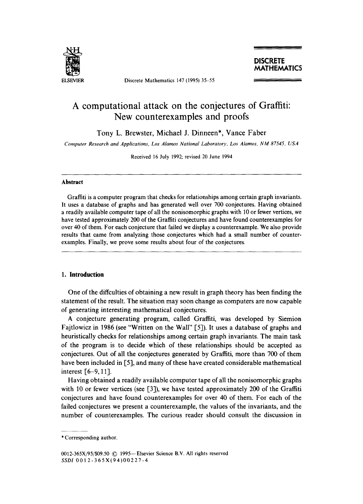

ELSEVIER Discrete Mathematics 147 (1995) 35-55

# **A computational attack on the conjectures of Graffiti: New counterexamples and proofs**

Tony L. Brewster, Michael J. Dinneen\*, Vance Faber

*Computer Research and Applications, Los Alamos National Laboratory, Los Alamos, NM 87545, USA* 

Received 16 July 1992; revised 20 June 1994

#### **Abstract**

Graffiti is a computer program that checks for relationships among certain graph invariants. It uses a database of graphs and has generated well over 700 conjectures. Having obtained a readily available computer tape of all the nonisomorphic graphs with 10 or fewer vertices, we have tested approximately 200 of the Graffiti conjectures and have found counterexamples for over 40 of them. For each conjecture that failed we display a counterexample. We also provide results that came from analyzing those conjectures which had a small number of counterexamples. Finally, we prove some results about four of the conjectures.

# **1. Introduction**

One of the diffculties of obtaining a new result in graph theory has been finding the statement of the result. The situation may soon change as computers are now capable of generating interesting mathematical conjectures.

A conjecture generating program, called Graffiti, was developed by Siemion Fajtlowicz in 1986 (see "Written on the Wall" [5]). It uses a database of graphs and heuristically checks for relationships among certain graph invariants. The main task of the program is to decide which of these relationships should be accepted as conjectures. Out of all the conjectures generated by Graffiti, more than 700 of them have been included in [5], and many of these have created considerable mathematical interest [6-9, 11].

Having obtained a readily available computer tape of all the nonisomorphic graphs with 10 or fewer vertices (see [3]), we have tested approximately 200 of the Graffiti conjectures and have found counterexamples for over 40 of them. For each of the failed conjectures we present a counterexample, the values of the invariants, and the number of counterexamples. The curious reader should consult the discussion in

<sup>\*</sup> Corresponding author.

<sup>0012-365</sup>X/95/\$09.50 © 1995--Elsevier Science B.V. All rights reserved *SSDI* 0012-365X(94)00227-4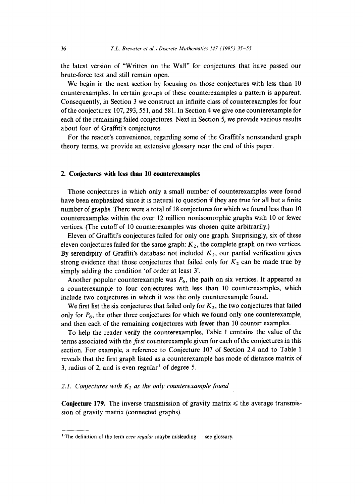the latest version of "Written on the Wall" for conjectures that have passed our brute-force test and still remain open.

We begin in the next section by focusing on those conjectures with less than 10 counterexamples. In certain groups of these counterexamples a pattern is apparent. Consequently, in Section 3 we construct an infinite class of counterexamples for four of the conjectures: 107, 293, 551, and 581. In Section 4 we give one counterexample for each of the remaining failed conjectures. Next in Section 5, we provide various results about four of Graffiti's conjectures.

For the reader's convenience, regarding some of the Graffiti's nonstandard graph theory terms, we provide an extensive glossary near the end of this paper.

# **2. Conjectures with less than 10 counterexamples**

Those conjectures in which only a small number of counterexamples were found have been emphasized since it is natural to question if they are true for all but a finite number of graphs. There were a total of 18 conjectures for which we found less than 10 counterexamples within the over 12 million nonisomorphic graphs with 10 or fewer vertices. (The cutoff of 10 counterexamples was chosen quite arbitrarily.)

Eleven of Graffiti's conjectures failed for only one graph. Surprisingly, six of these eleven conjectures failed for the same graph:  $K_2$ , the complete graph on two vertices. By serendipity of Graffiti's database not included  $K_2$ , our partial verification gives strong evidence that those conjectures that failed only for  $K_2$  can be made true by simply adding the condition 'of order at least Y.

Another popular counterexample was  $P_6$ , the path on six vertices. It appeared as a counterexample to four conjectures with less than 10 counterexamples, which include two conjectures in which it was the only counterexample found.

We first list the six conjectures that failed only for  $K_2$ , the two conjectures that failed only for  $P_6$ , the other three conjectures for which we found only one counterexample, and then each of the remaining conjectures with fewer than 10 counter examples.

To help the reader verify the counterexamples, Table 1 contains the value of the terms associated with the *first* counterexample given for each of the conjectures in this section. For example, a reference to Conjecture 107 of Section 2.4 and to Table 1 reveals that the first graph listed as a counterexample has mode of distance matrix of 3, radius of 2, and is even regular<sup>1</sup> of degree 5.

# 2.1. Conjectures with  $K_2$  as the only counterexample found

**Conjecture 179.** The inverse transmission of gravity matrix  $\leq$  the average transmission of gravity matrix (connected graphs).

<sup>&</sup>lt;sup>1</sup> The definition of the term *even regular* maybe misleading  $-$  see glossary.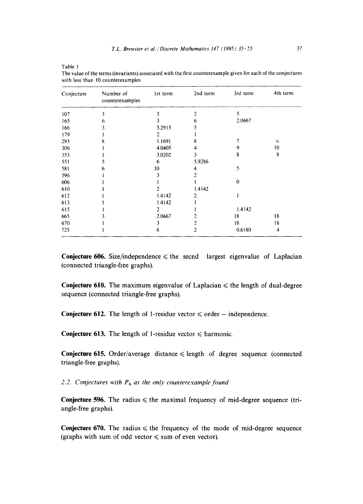| ٦ |  |
|---|--|
|---|--|

| Conjecture | Number of<br>counterexamples | 1st term | 2nd term       | 3rd term | 4th term |
|------------|------------------------------|----------|----------------|----------|----------|
| 107        | 3                            |          | 2              | 5        |          |
| 165        | 6                            | 3        | 6              | 2.0667   |          |
| 166        |                              | 5.2915   |                |          |          |
| 179        |                              | 2        |                |          |          |
| 293        |                              | 1.1691   | 8              |          | $\infty$ |
| 306        |                              | 4.0405   | 4              | 9        | 10       |
| 353        |                              | 3.0202   | 3              | 8        | 8        |
| 551        |                              | 6        | 5.9286         |          |          |
| 581        | h                            | 10       | 4              | 5        |          |
| 596        |                              |          |                |          |          |
| 606        |                              |          |                | $\Omega$ |          |
| 610        |                              |          | 1.4142         |          |          |
| 612        |                              | 1.4142   | 2              |          |          |
| 613        |                              | 1.4142   |                |          |          |
| 615        |                              | 2        |                | 1.4142   |          |
| 665        |                              | 2.0667   |                | 18       | 18       |
| 670        |                              |          | 2              | 18       | 18       |
| 725        |                              | 6        | $\overline{2}$ | 0.6180   | 4        |

**The value of the terms (invariants) associated with the first counterexample given for each of the conjectures**  with **less than 10 counterexamples** 

**Conjecture 606.** Size/independence  $\leq$  the secnd largest eigenvalue of Laplacian **(connected triangle-free graphs).** 

**Conjecture 610.** The maximum eigenvalue of Laplacian  $\leq$  the length of dual-degree **sequence (connected triangle-free graphs).** 

**Conjecture 612.** The length of 1-residue vector  $\leq$  order  $-$  independence.

**Conjecture 613.** The length of 1-residue vector  $\leq$  harmonic.

**Conjecture 615.** Order/average distance  $\leq$  length of degree sequence (connected **triangle-free graphs).** 

2.2. Conjectures with  $P_6$  as the only counterexample found

**Conjecture 596.** The radius  $\leq$  the maximal frequency of mid-degree sequence (tri**angle-free graphs).** 

**Conjecture 670.** The radius  $\leq$  the frequency of the mode of mid-degree sequence (graphs with sum of odd vector  $\leq$  sum of even vector).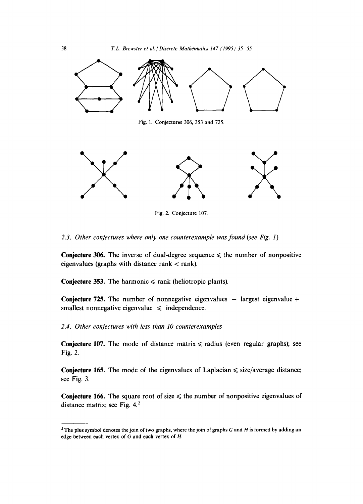



Fig. 2. Conjecture 107.

*2.3. Other conjectures where only one counterexample was found (see Fig. 1)* 

Conjecture 306. The inverse of dual-degree sequence  $\leq$  the number of nonpositive eigenvalues (graphs with distance rank  $<$  rank).

Conjecture 353. The harmonic  $\leq$  rank (heliotropic plants).

Conjecture 725. The number of nonnegative eigenvalues  $-$  largest eigenvalue  $+$ smallest nonnegative eigenvalue  $\leq$  independence.

# *2.4. Other conjectures with less than 10 counterexamples*

**Conjecture 107.** The mode of distance matrix  $\leq$  radius (even regular graphs); see Fig. 2.

Conjecture 165. The mode of the eigenvalues of Laplacian  $\leq$  size/average distance; see Fig. 3.

**Conjecture 166.** The square root of size  $\leq$  the number of nonpositive eigenvalues of distance matrix; see Fig. 4.<sup>2</sup>

<sup>&</sup>lt;sup>2</sup> The plus symbol denotes the join of two graphs, where the join of graphs G and H is formed by adding an edge between each vertex of  $G$  and each vertex of  $H$ .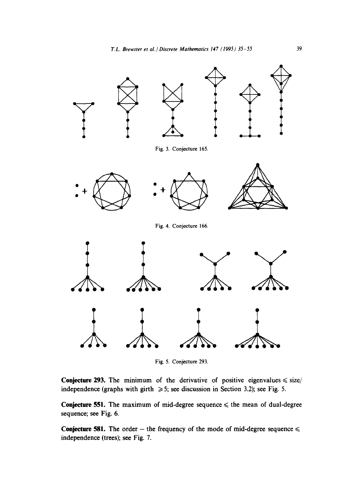

Fig. 5. Conjecture 293.

**Conjecture 293.** The minimum of the derivative of positive eigenvalues  $\leq$  size/ independence (graphs with girth  $\geqslant$  5; see discussion in Section 3.2); see Fig. 5.

**Conjecture 551.** The maximum of mid-degree sequence  $\leq$  the mean of dual-degree sequence; see Fig. 6.

**Conjecture 581.** The order – the frequency of the mode of mid-degree sequence  $\leq$ independence (trees); see Fig. 7.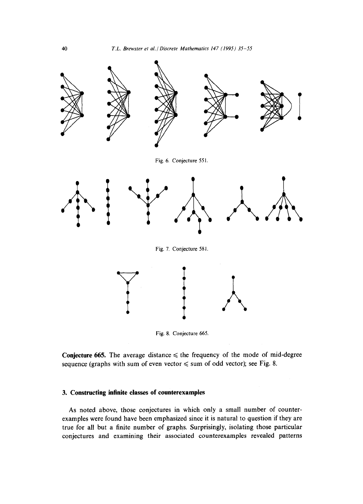



**Conjecture 665.** The average distance  $\leq$  the frequency of the mode of mid-degree sequence (graphs with sum of even vector  $\leq$  sum of odd vector); see Fig. 8.

# **3. Constructing infinite classes of counterexamples**

As noted above, those conjectures in which only a small number of counterexamples were found have been emphasized since it is natural to question if they are true for all but a finite number of graphs. Surprisingly, isolating those particular conjectures and examining their associated counterexamples revealed patterns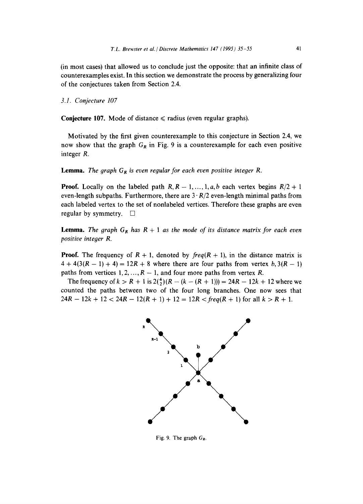(in most cases) that allowed us to conclude just the opposite: that an infinite class of counterexamples exist. In this section we demonstrate the process by generalizing four of the conjectures taken from Section 2.4.

*3.1. Conjecture 107* 

Conjecture 107. Mode of distance  $\le$  radius (even regular graphs).

Motivated by the first given counterexample to this conjecture in Section 2.4, we now show that the graph  $G_R$  in Fig. 9 is a counterexample for each even positive integer R.

**Lemma.** *The graph*  $G_R$  *is even regular for each even positive integer*  $R$ *.* 

**Proof.** Locally on the labeled path  $R, R-1, \ldots, 1, a, b$  each vertex begins  $R/2 + 1$ even-length subpaths. Furthermore, there are 3- *R/2* even-length minimal paths from each labeled vertex to the set of nonlabeled vertices. Therefore these graphs are even regular by symmetry.  $\square$ 

**Lemma.** *The graph*  $G_R$  *has*  $R + 1$  *as the mode of its distance matrix for each even positive integer R.* 

**Proof.** The frequency of  $R + 1$ , denoted by  $freq(R + 1)$ , in the distance matrix is  $4 + 4(3(R - 1) + 4) = 12R + 8$  where there are four paths from vertex b,  $3(R - 1)$ paths from vertices 1, 2, ...,  $R - 1$ , and four more paths from vertex R.

The frequency of  $k > R + 1$  is  $2(\frac{4}{2})(R - (k - (R + 1))) = 24R - 12k + 12$  where we counted the paths between two of the four long branches. One now sees that  $24R - 12k + 12 < 24R - 12(R + 1) + 12 = 12R < freq(R + 1)$  for all  $k > R + 1$ .



Fig. 9. The graph  $G_R$ .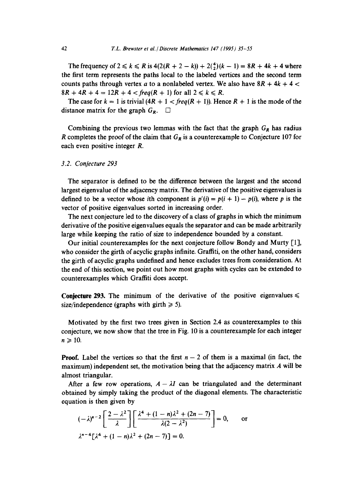The frequency of  $2 \le k \le R$  is  $4(2(R + 2 - k)) + 2(\frac{4}{2})(k - 1) = 8R + 4k + 4$  where the first term represents the paths local to the labeled vertices and the second term counts paths through vertex a to a nonlabeled vertex. We also have  $8R + 4k + 4 <$  $8R + 4R + 4 = 12R + 4 < freq(R + 1)$  for all  $2 \le k \le R$ .

The case for  $k = 1$  is trivial  $(4R + 1 < \text{freq}(R + 1))$ . Hence  $R + 1$  is the mode of the distance matrix for the graph  $G_R$ .  $\square$ 

Combining the previous two lemmas with the fact that the graph  $G_R$  has radius R completes the proof of the claim that  $G_R$  is a counterexample to Conjecture 107 for each even positive integer R.

#### *3.2. Conjecture 293*

The separator is defined to be the difference between the largest and the second largest eigenvalue of the adjacency matrix. The derivative of the positive eigenvalues is defined to be a vector whose ith component is  $p'(i) = p(i + 1) - p(i)$ , where p is the vector of positive eigenvalues sorted in increasing order.

The next conjecture led to the discovery of a class of graphs in which the minimum derivative of the positive eigenvalues equals the separator and can be made arbitrarily large while keeping the ratio of size to independence bounded by a constant.

Our initial counterexamples for the next conjecture follow Bondy and Murty [1], who consider the girth of acyclic graphs infinite. Graffiti, on the other hand, considers the girth of acyclic graphs undefined and hence excludes trees from consideration. At the end of this section, we point out how most graphs with cycles can be extended to counterexamples which Graffiti does accept.

**Conjecture 293.** The minimum of the derivative of the positive eigenvalues  $\leq$ size/independence (graphs with girth  $\geq 5$ ).

Motivated by the first two trees given in Section 2.4 as counterexamples to this conjecture, we now show that the tree in Fig. 10 is a counterexample for each integer  $n\geqslant 10$ .

**Proof.** Label the vertices so that the first  $n - 2$  of them is a maximal (in fact, the maximum) independent set, the motivation being that the adjacency matrix  $\vec{A}$  will be almost triangular.

After a few row operations,  $A - \lambda I$  can be triangulated and the determinant obtained by simply taking the product of the diagonal elements. The characteristic equation is then given by

$$
(-\lambda)^{n-2}\left[\frac{2-\lambda^2}{\lambda}\right]\left[\frac{\lambda^4+(1-n)\lambda^2+(2n-7)}{\lambda(2-\lambda^2)}\right] = 0, \quad \text{or}
$$

$$
\lambda^{n-4}\left[\lambda^4+(1-n)\lambda^2+(2n-7)\right] = 0.
$$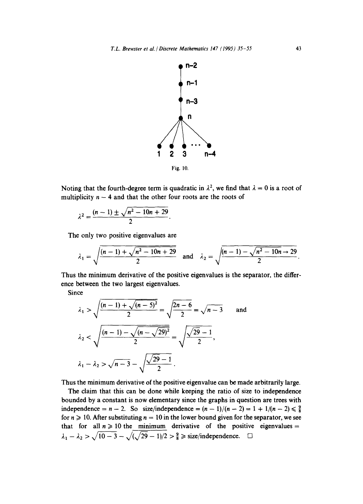

Noting that the fourth-degree term is quadratic in  $\lambda^2$ , we find that  $\lambda = 0$  is a root of multiplicity  $n - 4$  and that the other four roots are the roots of

$$
\lambda^2 = \frac{(n-1) \pm \sqrt{n^2 - 10n + 29}}{2}
$$

The only two positive eigenvalues are

$$
\lambda_1 = \sqrt{\frac{(n-1) + \sqrt{n^2 - 10n + 29}}{2}} \quad \text{and} \quad \lambda_2 = \sqrt{\frac{(n-1) - \sqrt{n^2 - 10n + 29}}{2}}
$$

Thus the minimum derivative of the positive eigenvalues is the separator, the difference between the two largest eigenvalues.

Since

$$
\lambda_1 > \sqrt{\frac{(n-1) + \sqrt{(n-5)^2}}{2}} = \sqrt{\frac{2n-6}{2}} = \sqrt{n-3}
$$
 and  

$$
\lambda_2 < \sqrt{\frac{(n-1) - \sqrt{(n-\sqrt{29})^2}}{2}} = \sqrt{\frac{\sqrt{29} - 1}{2}},
$$

$$
\lambda_1 - \lambda_2 > \sqrt{n-3} - \sqrt{\frac{\sqrt{29} - 1}{2}}.
$$

Thus the minimum derivative of the positive eigenvalue can be made arbitrarily large.

The claim that this can be done while keeping the ratio of size to independence bounded by a constant is now elementary since the graphs in question are trees with independence =  $n - 2$ . So size/independence =  $(n - 1)/(n - 2) = 1 + 1/(n - 2) \le \frac{9}{8}$ for  $n \ge 10$ . After substituting  $n = 10$  in the lower bound given for the separator, we see that for all  $n \geq 10$  the minimum derivative of the positive eigenvalues =  $\lambda_1 - \lambda_2 > \sqrt{10-3} - \sqrt{(\sqrt{29}-1)/2} > \frac{9}{8} \geq$  size/independence.  $\square$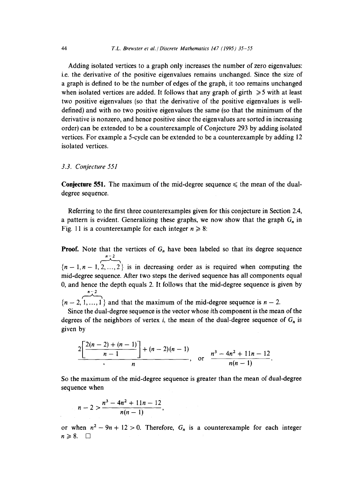Adding isolated vertices to a graph only increases the number of zero eigenvalues: i.e. the derivative of the positive eigenvalues remains unchanged. Since the size of a graph is defined to be the number of edges of the graph, it too remains unchanged when isolated vertices are added. It follows that any graph of girth  $\geq 5$  with at least two positive eigenvalues (so that the derivative of the positive eigenvalues is welldefined) and with no two positive eigenvalues the same (so that the minimum of the derivative is nonzero, and hence positive since the eigenvalues are sorted in increasing order) can be extended to be a counterexample of Conjecture 293 by adding isolated vertices. For example a 5-cycle can be extended to be a counterexample by adding 12 isolated vertices.

#### *3.3. Conjecture 551*

**Conjecture 551.** The maximum of the mid-degree sequence  $\leq$  the mean of the dualdegree sequence.

Referring to the first three counterexamples given for this conjecture in Section 2.4, a pattern is evident. Generalizing these graphs, we now show that the graph  $G_n$  in Fig. 11 is a counterexample for each integer  $n \ge 8$ :

**Proof.** Note that the vertices of  $G_n$  have been labeled so that its degree sequence n – 2  ${n-1, n-1, 2, ..., 2}$  is in decreasing order as is required when computing the mid-degree sequence. After two steps the derived sequence has all components equal 0, and hence the depth equals 2. It follows that the mid-degree sequence is given by *.-2* 

 ${n-2, 1, ..., 1}$  and that the maximum of the mid-degree sequence is  $n-2$ .

Since the dual-degree sequence is the vector whose ith component is the mean of the degrees of the neighbors of vertex *i*, the mean of the dual-degree sequence of  $G_n$  is given by

$$
\frac{2\left[\frac{2(n-2)+(n-1)}{n-1}\right] + (n-2)(n-1)}{n}, \text{ or } \frac{n^3-4n^2+11n-12}{n(n-1)}.
$$

So the maximum of the mid-degree sequence is greater than the mean of dual-degree sequence when

$$
n-2 > \frac{n^3 - 4n^2 + 11n - 12}{n(n-1)},
$$

or when  $n^2 - 9n + 12 > 0$ . Therefore,  $G_n$  is a counterexample for each integer  $n\geqslant 8.$   $\Box$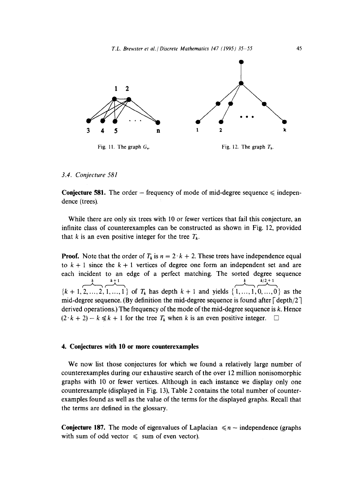

*3.4. Conjecture 581* 

**Conjecture 581.** The order  $-$  frequency of mode of mid-degree sequence  $\leq$  independence (trees).

While there are only six trees with 10 or fewer vertices that fail this conjecture, an infinite class of counterexamples can be constructed as shown in Fig. 12, provided that k is an even positive integer for the tree  $T_k$ .

**Proof.** Note that the order of  $T_k$  is  $n = 2 \cdot k + 2$ . These trees have independence equal to  $k + 1$  since the  $k + 1$  vertices of degree one form an independent set and are each incident to an edge of a perfect matching. The sorted degree sequence  $k/2 + 1$  $k$   $k+1$  ${k + 1, 2, ..., 2, 1, ..., 1}$  of  $T_k$  has depth  $k + 1$  and yields  $\{1, ..., 1, 0, ..., 0\}$  as the mid-degree sequence. (By definition the mid-degree sequence is found after  $\lceil \text{depth}/2 \rceil$ derived operations.) The frequency of the mode of the mid-degree sequence is  $k$ . Hence  $(2 \cdot k + 2) - k \le k + 1$  for the tree  $T_k$  when k is an even positive integer.  $\Box$ 

# **4. Conjectures with 10 or more counterexamples**

We now list those conjectures for which we found a relatively large number of counterexamples during our exhaustive search of the over 12 million nonisomorphic graphs with 10 or fewer vertices. Although in each instance we display only one counterexample (displayed in Fig. 13), Table 2 contains the total number of counterexamples found as well as the value of the terms for the displayed graphs. Recall that the terms are defined in the glossary.

**Conjecture 187.** The mode of eigenvalues of Laplacian  $\leq n$  – independence (graphs with sum of odd vector  $\leq$  sum of even vector).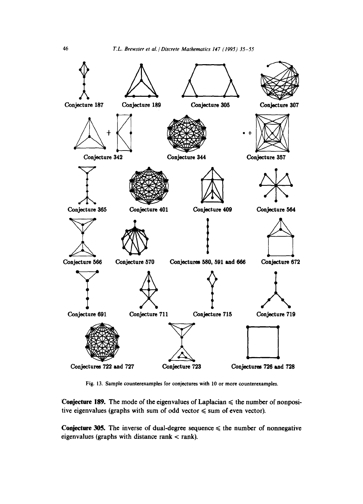

Fig. 13. Sample counterexamples for conjectures with 10 or more counterexamples.

Conjecture 189. The mode of the eigenvalues of Laplacian  $\leq$  the number of nonpositive eigenvalues (graphs with sum of odd vector  $\leq$  sum of even vector).

Conjecture 305. The inverse of dual-degree sequence  $\leq$  the number of nonnegative eigenvalues (graphs with distance rank  $<$  rank).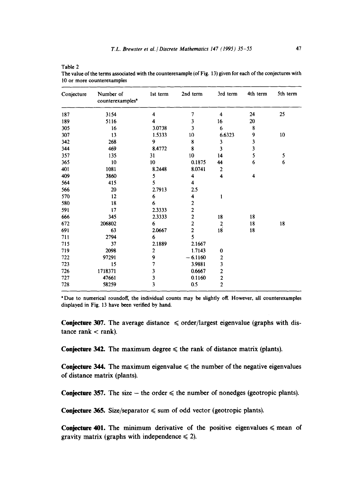|  | ۰ |  |
|--|---|--|
|  |   |  |
|  |   |  |

**Table** 2

| Conjecture | Number of<br>counterexamples <sup>a</sup> | 1st term                | 2nd term                | 3rd term                | 4th term | 5th term |
|------------|-------------------------------------------|-------------------------|-------------------------|-------------------------|----------|----------|
| 187        | 3154                                      | 4                       | 7                       | 4                       | 24       | 25       |
| 189        | 5116                                      | 4                       | 3                       | 16                      | 20       |          |
| 305        | 16                                        | 3.0738                  | 3                       | 6                       | 8        |          |
| 307        | 13                                        | 1.5333                  | 10                      | 6.6323                  | 9        | 10       |
| 342        | 268                                       | 9                       | 8                       | 3                       | 3        |          |
| 344        | 469                                       | 8.4772                  | 8                       | 3                       | 3        |          |
| 357        | 135                                       | 31                      | 10                      | 14                      | 5        | 5        |
| 365        | 10                                        | 10                      | 0.1875                  | 44                      | 6        | 6        |
| 401        | 1081                                      | 8.2448                  | 8.0741                  | 2                       |          |          |
| 409        | 3860                                      | 5                       | 4                       | 4                       | 4        |          |
| 564        | 415                                       | 5                       | 4                       |                         |          |          |
| 566        | 20                                        | 2.7913                  | 2.5                     |                         |          |          |
| 570        | 12                                        | 6                       | 4                       | 1                       |          |          |
| 580        | 18                                        | 6                       | $\boldsymbol{2}$        |                         |          |          |
| 591        | 17                                        | 2.3333                  | $\overline{\mathbf{c}}$ |                         |          |          |
| 666        | 345                                       | 2.3333                  | $\overline{\mathbf{c}}$ | ${\bf 18}$              | 18       |          |
| 672        | 206802                                    | 6                       | $\overline{\mathbf{c}}$ | $\overline{a}$          | 18       | 18       |
| 691        | 63                                        | 2.0667                  | $\overline{2}$          | 18                      | 18       |          |
| 711        | 2794                                      | 6                       | 5                       |                         |          |          |
| 715        | 37                                        | 2.1889                  | 2.1667                  |                         |          |          |
| 719        | 2098                                      | $\mathbf{2}$            | 1.7143                  | 0                       |          |          |
| 722        | 97291                                     | 9                       | $-6.1160$               | $\overline{\mathbf{c}}$ |          |          |
| 723        | 15                                        | 7                       | 3.9881                  | $\overline{\mathbf{3}}$ |          |          |
| 726        | 1718371                                   | 3                       | 0.6667                  | $\overline{\mathbf{c}}$ |          |          |
| 727        | 47661                                     | 3                       | 0.1160                  | $\frac{2}{2}$           |          |          |
| 728        | 58259                                     | $\overline{\mathbf{3}}$ | 0.5                     |                         |          |          |

**The value of the terms associated with the counterexample** (of Fig. 13) **given for each of the conjectures with 10 or more counterexamples** 

"Due **to numerical roundoff, the individual counts may be slightly off. However, all counterexamples displayed in** Fig. 13 have been verified by **hand.** 

**Conjecture 307.** The average distance  $\leq$  order/largest eigenvalue (graphs with dis $tance$  rank  $<$  rank).

**Conjecture 342.** The maximum degree  $\leq$  the rank of distance matrix (plants).

**Conjecture 344.** The maximum eigenvalue  $\leq$  the number of the negative eigenvalues **of distance matrix (plants).** 

**Conjecture 357.** The size  $-$  the order  $\leq$  the number of nonedges (geotropic plants).

**Conjecture 365.** Size/separator  $\leq$  sum of odd vector (geotropic plants).

**Conjecture 401.** The minimum derivative of the positive eigenvalues  $\leq$  mean of gravity matrix (graphs with independence  $\leq 2$ ).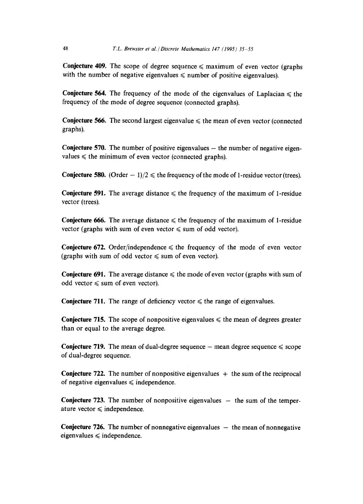**Conjecture 409.** The scope of degree sequence  $\leq$  maximum of even vector (graphs) with the number of negative eigenvalues  $\leq$  number of positive eigenvalues).

**Conjecture 564.** The frequency of the mode of the eigenvalues of Laplacian  $\leq$  the frequency of the mode of degree sequence (connected graphs).

**Conjecture 566.** The second largest eigenvalue  $\leq$  the mean of even vector (connected graphs).

**Conjecture 570.** The number of positive eigenvalues – the number of negative eigenvalues  $\leq$  the minimum of even vector (connected graphs).

**Conjecture 580.** (Order  $-1/2 \le$  the frequency of the mode of 1-residue vector (trees).

**Conjecture 591.** The average distance  $\leq$  the frequency of the maximum of 1-residue vector (trees).

**Conjecture 666.** The average distance  $\leq$  the frequency of the maximum of 1-residue vector (graphs with sum of even vector  $\leq$  sum of odd vector).

**Conjecture 672.** Order/independence  $\leq$  the frequency of the mode of even vector (graphs with sum of odd vector  $\leq$  sum of even vector).

**Conjecture 691.** The average distance  $\leq$  the mode of even vector (graphs with sum of odd vector  $\leq$  sum of even vector).

**Conjecture 711.** The range of deficiency vector  $\leq$  the range of eigenvalues.

**Conjecture 715.** The scope of nonpositive eigenvalues  $\leq$  the mean of degrees greater than or equal to the average degree.

**Conjecture 719.** The mean of dual-degree sequence  $-$  mean degree sequence  $\leq$  scope of dual-degree sequence.

**Conjecture 722.** The number of nonpositive eigenvalues  $+$  the sum of the reciprocal of negative eigenvalues  $\leq$  independence.

**Conjecture 723.** The number of nonpositive eigenvalues  $-$  the sum of the temperature vector  $\leq$  independence.

**Conjecture 726.** The number of nonnegative eigenvalues  $-$  the mean of nonnegative  $eigenvalues \leq independent.$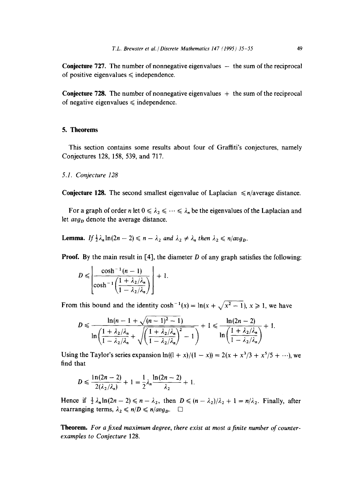**Conjecture 727.** The number of nonnegative eigenvalues  $-$  the sum of the reciprocal of positive eigenvalues  $\leq$  independence.

**Conjecture 728.** The number of nonnegative eigenvalues  $+$  the sum of the reciprocal of negative eigenvalues  $\leq$  independence.

# **5. Theorems**

This section contains some results about four of Graffiti's conjectures, namely Conjectures 128, 158, 539, and 717.

#### *5.1. Conjecture 128*

**Conjecture 128.** The second smallest eigenvalue of Laplacian  $\leq n/\text{average distance}$ .

For a graph of order n let  $0 \le \lambda_2 \le \cdots \le \lambda_n$  be the eigenvalues of the Laplacian and let *avg<sub>p</sub>* denote the average distance.

**Lemma.** If  $\frac{1}{2}\lambda_n \ln(2n-2) \leq n - \lambda_2$  and  $\lambda_2 \neq \lambda_n$  then  $\lambda_2 \leq n/avg_p$ .

**Proof.** By the main result in  $[4]$ , the diameter D of any graph satisfies the following:

$$
D \leqslant \left\lfloor \frac{\cosh^{-1}(n-1)}{\cosh^{-1}\left(\frac{1+\lambda_2/\lambda_n}{1-\lambda_2/\lambda_n}\right)} \right\rfloor + 1.
$$

From this bound and the identity  $\cosh^{-1}(x) = \ln(x + \sqrt{x^2 - 1})$ ,  $x \ge 1$ , we have

$$
D \leqslant \frac{\ln(n-1+\sqrt{(n-1)^2-1})}{\ln\left(\frac{1+\lambda_2/\lambda_n}{1-\lambda_2/\lambda_n}+\sqrt{\left(\frac{1+\lambda_2/\lambda_n}{1-\lambda_2/\lambda_n}\right)^2-1}\right)}+1 \leqslant \frac{\ln(2n-2)}{\ln\left(\frac{1+\lambda_2/\lambda_n}{1-\lambda_2/\lambda_n}\right)}+1.
$$

Using the Taylor's series expansion  $ln((1 + x)/(1 - x)) = 2(x + x^3/3 + x^5/5 + \cdots)$ , we find that

$$
D \leq \frac{\ln(2n-2)}{2(\lambda_2/\lambda_n)} + 1 = \frac{1}{2}\lambda_n \frac{\ln(2n-2)}{\lambda_2} + 1.
$$

Hence if  $\frac{1}{2} \lambda_n \ln(2n-2) \leq n - \lambda_2$ , then  $D \leq (n - \lambda_2)/\lambda_2 + 1 = n/\lambda_2$ . Finally, after rearranging terms,  $\lambda_2 \leq n/D \leq n/avg_p$ .

Theorem. For a fixed maximum degree, there exist at most a finite number of counter*examples to Conjecture* 128.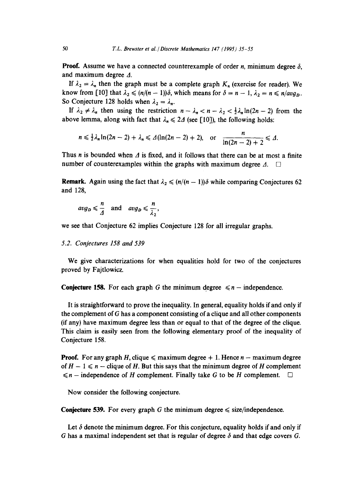**Proof.** Assume we have a connected counterexample of order *n*, minimum degree  $\delta$ , and maximum degree  $\Delta$ .

If  $\lambda_2 = \lambda_n$  then the graph must be a complete graph  $K_n$  (exercise for reader). We know from [10] that  $\lambda_2 \leq (n/(n-1))\delta$ , which means for  $\delta = n-1$ ,  $\lambda_2 = n \leq n/avg_p$ . So Conjecture 128 holds when  $\lambda_2 = \lambda_n$ .

If  $\lambda_2 \neq \lambda_n$  then using the restriction  $n - \lambda_n < n - \lambda_2 < \frac{1}{2}\lambda_n \ln(2n - 2)$  from the above lemma, along with fact that  $\lambda_n \leq 2\Delta$  (see [10]), the following holds:

$$
n\leqslant \frac{1}{2}\lambda_n\ln(2n-2)+\lambda_n\leqslant\varDelta(\ln(2n-2)+2),\quad\text{or}\quad\frac{n}{\ln(2n-2)+2}\leqslant\varDelta.
$$

Thus n is bounded when  $\Delta$  is fixed, and it follows that there can be at most a finite number of counterexamples within the graphs with maximum degree  $\Lambda$ .  $\square$ 

**Remark.** Again using the fact that  $\lambda_2 \leq (n/(n-1))\delta$  while comparing Conjectures 62 and 128,

$$
avg_D \leq \frac{n}{\Delta}
$$
 and  $avg_D \leq \frac{n}{\lambda_2}$ ,

we see that Conjecture 62 implies Conjecture 128 for all irregular graphs.

#### *5.2. Conjectures 158 and 539*

We give characterizations for when equalities hold for two of the conjectures proved by Fajtlowicz.

**Conjecture 158.** For each graph G the minimum degree  $\leq n$  – independence.

It is straightforward to prove the inequality. In general, equality holds if and only if the complement of G has a component consisting of a clique and all other components (if any) have maximum degree less than or equal to that of the degree of the clique. This claim is easily seen from the following elementary proof of the inequality of Conjecture 158.

**Proof.** For any graph H, clique  $\leq$  maximum degree + 1. Hence  $n -$  maximum degree of  $H - 1 \le n -$  clique of H. But this says that the minimum degree of H complement  $\leq n$  – independence of H complement. Finally take G to be H complement.  $\square$ 

Now consider the following conjecture.

**Conjecture 539.** For every graph G the minimum degree  $\leq$  size/independence.

Let  $\delta$  denote the minimum degree. For this conjecture, equality holds if and only if G has a maximal independent set that is regular of degree  $\delta$  and that edge covers G.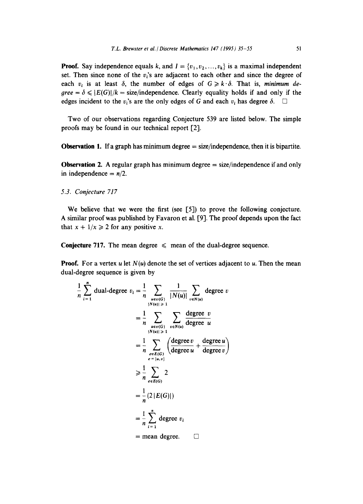**Proof.** Say independence equals k, and  $I = \{v_1, v_2, ..., v_k\}$  is a maximal independent set. Then since none of the  $v_i$ 's are adjacent to each other and since the degree of each  $v_i$  is at least  $\delta$ , the number of edges of  $G \ge k \cdot \delta$ . That is, *minimum de-* $\beta = \delta \leqslant |E(G)|/k = \text{size/independence}$ . Clearly equality holds if and only if the edges incident to the v<sub>i</sub>'s are the only edges of G and each  $v_i$  has degree  $\delta$ .  $\Box$ 

Two of our observations regarding Conjecture 539 are listed below. The simple proofs may be found in our technical report [2].

**Observation 1.** If a graph has minimum degree  $=$  size/independence, then it is bipartite.

**Observation 2.** A regular graph has minimum degree = size/independence if and only in independence  $= n/2$ .

*5.3. Conjecture 717* 

We believe that we were the first (see [5]) to prove the following conjecture. A similar proof was published by Favaron et al. [9]. The proof depends upon the fact that  $x + 1/x \ge 2$  for any positive x.

**Conjecture 717.** The mean degree  $\leq$  mean of the dual-degree sequence.

**Proof.** For a vertex u let  $N(u)$  denote the set of vertices adjacent to u. Then the mean dual-degree sequence is given by

$$
\frac{1}{n} \sum_{i=1}^{n} \text{dual-degree } v_i = \frac{1}{n} \sum_{\substack{u \in v(G) \\ |N(u)| \geq 1}} \frac{1}{|N(u)|} \sum_{v \in N(u)} \text{degree } v
$$
\n
$$
= \frac{1}{n} \sum_{\substack{u \in v(G) \\ |N(u)| \geq 1}} \sum_{v \in N(u)} \frac{\text{degree } v}{\text{degree } u}
$$
\n
$$
= \frac{1}{n} \sum_{\substack{e \in E(G) \\ e = \{u, v\}}} \left( \frac{\text{degree } v}{\text{degree } u} + \frac{\text{degree } u}{\text{degree } v} \right)
$$
\n
$$
\geq \frac{1}{n} \sum_{e \in E(G)} 2
$$
\n
$$
= \frac{1}{n} (2 |E(G)|)
$$
\n
$$
= \frac{1}{n} \sum_{i=1}^{n} \text{degree } v_i
$$
\n= mean degree.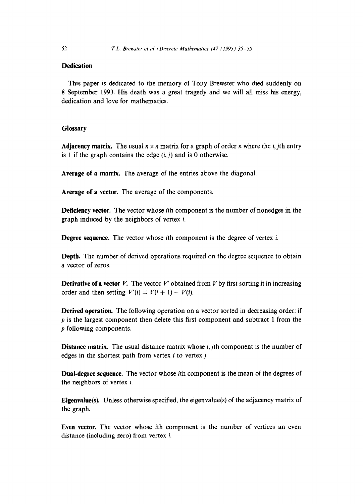# **Dedication**

This paper is dedicated to the memory of Tony Brewster who died suddenly on 8 September 1993. His death was a great tragedy and we will all miss his energy, dedication and love for mathematics.

# **Glossary**

**Adjacency matrix.** The usual  $n \times n$  matrix for a graph of order *n* where the *i*, jth entry is 1 if the graph contains the edge  $(i, j)$  and is 0 otherwise.

**Average of a matrix.** The average of the entries above the diagonal.

**Average of a vector.** The average of the components.

**Deficiency vector.** The vector whose ith component is the number of nonedges in the graph induced by the neighbors of vertex i.

**Degree sequence.** The vector whose *i*th component is the degree of vertex *i*.

**Depth.** The number of derived operations required on the degree sequence to obtain a vector of zeros.

**Derivative of a vector** *V*. The vector *V'* obtained from *V* by first sorting it in increasing order and then setting  $V'(i) = V(i + 1) - V(i)$ .

**Derived operation.** The following operation on a vector sorted in decreasing order: if p is the largest component then delete this first component and subtract 1 from the p following components.

**Distance** matrix. The usual distance matrix whose *i, jth* component is the number of edges in the shortest path from vertex  $i$  to vertex  $j$ .

Dual-degree sequence. The vector whose ith component is the mean of the degrees of the neighbors of vertex i.

**Eigenvalue(s).** Unless otherwise specified, the eigenvalue(s) of the adjacency matrix of the graph.

Even vector. The vector whose ith component is the number of vertices an even distance (including zero) from vertex i.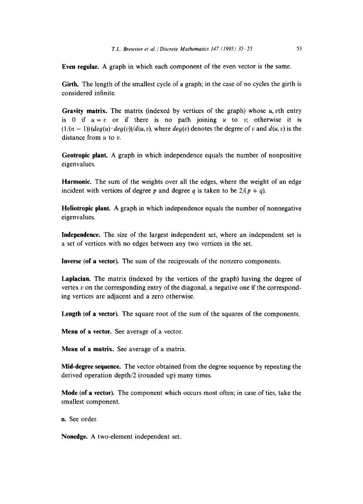Even regular. A graph in which each component of the even vector is the same.

Girth. The length of the smallest cycle of a graph; in the case of no cycles the girth is considered infinite.

Gravity matrix. The matrix (indexed by vertices of the graph) whose  $u$ ,  $v$ th entry is 0 if  $u=v$  or if there is no path joining u to v; otherwise it is  $(1/(n-1))$   $(\text{deg}(u) \cdot \text{deg}(v))/d(u, v)$ , where  $\text{deg}(v)$  denotes the degree of v and  $d(u, v)$  is the distance from  $u$  to  $v$ .

Geotropic plant. A graph in which independence equals the number of nonpositive eigenvalues.

Harmonic. The sum of the weights over all the edges, where the weight of an edge incident with vertices of degree p and degree q is taken to be  $2/(p + q)$ .

Heliotropic plant. A graph in which independence equals the number of nonnegative eigenvalues.

**Independence.** The size of the largest independent set, where an independent set is a set of vertices with no edges between any two vertices in the set.

**Inverse (of** a vector). The sum of the reciprocals of the nonzero components.

**Laplacian.** The matrix (indexed by the vertices of the graph) having the degree of vertex  $v$  on the corresponding entry of the diagonal, a negative one if the corresponding vertices are adjacent and a zero otherwise.

Length (of a vector). The square root of the sum of the squares of the components.

**Mean of** a vector. See average of a vector.

**Mean of** a matrix. See average of a matrix.

**Mid-degree sequence.** The vector obtained from the degree sequence by repeating the derived operation depth/2 (rounded up) many times.

**Mode (of** a vector). The component which occurs most often; in case of ties, take the smallest component.

n. See order.

Nonedge. A two-element independent set.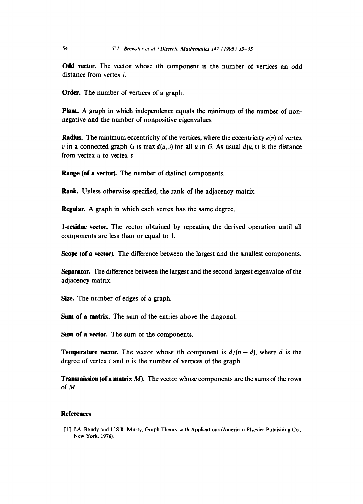**Odd** vector. The vector whose ith component is the number of vertices an odd distance from vertex i.

Order. The number of vertices of a graph.

Plant. A graph in which independence equals the minimum of the number of nonnegative and the number of nonpositive eigenvalues.

**Radius.** The minimum eccentricity of the vertices, where the eccentricity *e(v)* of vertex v in a connected graph G is max  $d(u, v)$  for all u in G. As usual  $d(u, v)$  is the distance from vertex  $u$  to vertex  $v$ .

**Range** (of a vector). The number of distinct components.

Rank. Unless otherwise specified, the rank of the adjacency matrix.

Regular. A graph in which each vertex has the same degree.

**1-residue** vector. The vector obtained by repeating the derived operation until all components are less than or equal to 1.

Scope (of a vector). The difference between the largest and the smallest components.

Separator. The difference between the largest and the second largest eigenvalue of the adjacency matrix.

Size. The number of edges of a graph.

Sum of a matrix. The sum of the entries above the diagonal.

Sum of a vector. The sum of the components.

**Temperature vector.** The vector whose ith component is  $d/(n - d)$ , where d is the degree of vertex  $i$  and  $n$  is the number of vertices of the graph.

**Transmission (of a matrix M).** The vector whose components are the sums of the rows of M.

#### **References**

[1] J.A. Bondy and U.S.R. Murty, Graph Theory with Applications (American Elsevier Publishing Co., New York, 1976).